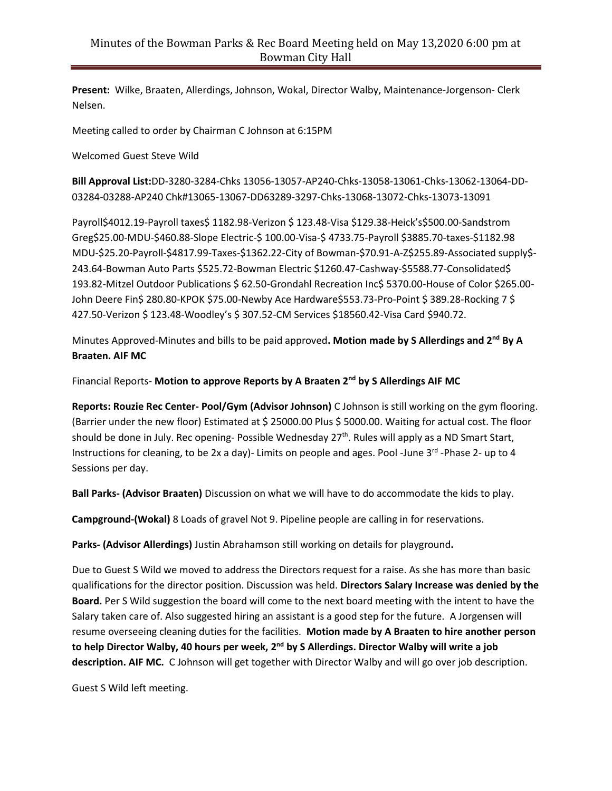**Present:** Wilke, Braaten, Allerdings, Johnson, Wokal, Director Walby, Maintenance-Jorgenson- Clerk Nelsen.

Meeting called to order by Chairman C Johnson at 6:15PM

Welcomed Guest Steve Wild

**Bill Approval List:**DD-3280-3284-Chks 13056-13057-AP240-Chks-13058-13061-Chks-13062-13064-DD-03284-03288-AP240 Chk#13065-13067-DD63289-3297-Chks-13068-13072-Chks-13073-13091

Payroll\$4012.19-Payroll taxes\$ 1182.98-Verizon \$ 123.48-Visa \$129.38-Heick's\$500.00-Sandstrom Greg\$25.00-MDU-\$460.88-Slope Electric-\$ 100.00-Visa-\$ 4733.75-Payroll \$3885.70-taxes-\$1182.98 MDU-\$25.20-Payroll-\$4817.99-Taxes-\$1362.22-City of Bowman-\$70.91-A-Z\$255.89-Associated supply\$- 243.64-Bowman Auto Parts \$525.72-Bowman Electric \$1260.47-Cashway-\$5588.77-Consolidated\$ 193.82-Mitzel Outdoor Publications \$ 62.50-Grondahl Recreation Inc\$ 5370.00-House of Color \$265.00- John Deere Fin\$ 280.80-KPOK \$75.00-Newby Ace Hardware\$553.73-Pro-Point \$ 389.28-Rocking 7 \$ 427.50-Verizon \$ 123.48-Woodley's \$ 307.52-CM Services \$18560.42-Visa Card \$940.72.

Minutes Approved-Minutes and bills to be paid approved**. Motion made by S Allerdings and 2nd By A Braaten. AIF MC**

Financial Reports- **Motion to approve Reports by A Braaten 2nd by S Allerdings AIF MC**

**Reports: Rouzie Rec Center- Pool/Gym (Advisor Johnson)** C Johnson is still working on the gym flooring. (Barrier under the new floor) Estimated at \$ 25000.00 Plus \$ 5000.00. Waiting for actual cost. The floor should be done in July. Rec opening- Possible Wednesday 27<sup>th</sup>. Rules will apply as a ND Smart Start, Instructions for cleaning, to be 2x a day)- Limits on people and ages. Pool -June 3<sup>rd</sup> -Phase 2- up to 4 Sessions per day.

**Ball Parks- (Advisor Braaten)** Discussion on what we will have to do accommodate the kids to play.

**Campground-(Wokal)** 8 Loads of gravel Not 9. Pipeline people are calling in for reservations.

**Parks- (Advisor Allerdings)** Justin Abrahamson still working on details for playground**.**

Due to Guest S Wild we moved to address the Directors request for a raise. As she has more than basic qualifications for the director position. Discussion was held. **Directors Salary Increase was denied by the Board.** Per S Wild suggestion the board will come to the next board meeting with the intent to have the Salary taken care of. Also suggested hiring an assistant is a good step for the future. A Jorgensen will resume overseeing cleaning duties for the facilities. **Motion made by A Braaten to hire another person to help Director Walby, 40 hours per week, 2 nd by S Allerdings. Director Walby will write a job description. AIF MC.** C Johnson will get together with Director Walby and will go over job description.

Guest S Wild left meeting.